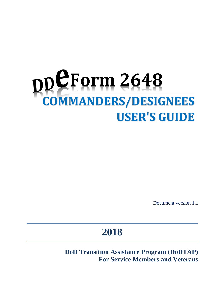# DDCForm 2648 **USER'S GUIDE**

Document version 1.1

## **2018**

**DoD Transition Assistance Program (DoDTAP) For Service Members and Veterans**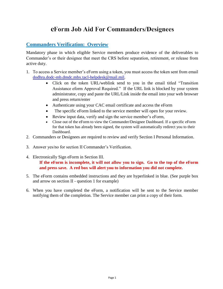## eForm Job Aid For Commanders/Designees

### **Commanders Verification: Overview**

Mandatory phase in which eligible Service members produce evidence of the deliverables to Commander's or their designee that meet the CRS before separation, retirement, or release from active duty.

- 1. To access a Service member's eForm using a token, you must access the token sent from email [dodhra.dodc-mb.dmdc.mbx.tacl-helpdesk@mail.mil.](mailto:dodhra.dodc-mb.dmdc.mbx.tacl-helpdesk@mail.mil)
	- Click on the token URL/weblink send to you in the email titled "Transition Assistance eform Approval Required." If the URL link is blocked by your system administrator, copy and paste the URL/Link inside the email into your web browser and press return/enter
	- Authenticate using your CAC email certificate and access the eForm
	- The specific eForm linked to the service member will open for your review.
	- Review input data, verify and sign the service member's eForm,
	- Close out of the eForm to view the Commander/Designee Dashboard. If a specific eForm for that token has already been signed, the system will automatically redirect you to their Dashboard.
- 2. Commanders or Designees are required to review and verify Section I Personal Information.
- 3. Answer yes/no for section II Commander's Verification.
- 4. Electronically Sign eForm in Section III. **If the eForm is incomplete, it will not allow you to sign. Go to the top of the eForm and press save. A red box will alert you to information you did not complete.**
- 5. The eForm contains embedded instructions and they are hyperlinked in blue. (See purple box and arrow on section II - question 1 for example)
- 6. When you have completed the eForm, a notification will be sent to the Service member notifying them of the completion. The Service member can print a copy of their form.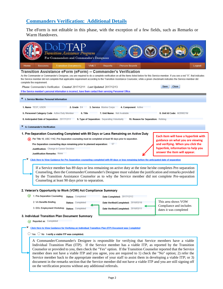## **Commanders Verification: Additional Details**

The eForm is not editable in this phase, with the exception of a few fields, such as Remarks or Warm Handovers.

| Transition Assistance Program<br>For Commanders and Commander's Designees                                                                                                                                                                                                                                                                                                                                                                                                                                                                                                                                                                                                                                                                          |  |
|----------------------------------------------------------------------------------------------------------------------------------------------------------------------------------------------------------------------------------------------------------------------------------------------------------------------------------------------------------------------------------------------------------------------------------------------------------------------------------------------------------------------------------------------------------------------------------------------------------------------------------------------------------------------------------------------------------------------------------------------------|--|
| Home<br><b>Sessions</b><br><b>Transition Documents</b><br><b>VMET</b><br><b>Reports</b><br><b>Person Search</b><br>Logout                                                                                                                                                                                                                                                                                                                                                                                                                                                                                                                                                                                                                          |  |
| Transition Assistance eForm (eForm) -- Commander's Verification<br>As the Commander or Commander's Designee, you are required to do a complete verification on all the items listed below for this Service member. If you see a red "X", that indicates<br>the Service member did not complete that applicable requirement according to the Transition Assistance Counselor, while a green checkmark indicates the Service member did<br>complete the requirement.                                                                                                                                                                                                                                                                                 |  |
| Save<br>Close<br>Phase Commander's Verification Created 2017/12/11 Last Updated 2017/12/13                                                                                                                                                                                                                                                                                                                                                                                                                                                                                                                                                                                                                                                         |  |
| If the Service member's personal information is incorrect, have them contact their servicing Personnel Office.                                                                                                                                                                                                                                                                                                                                                                                                                                                                                                                                                                                                                                     |  |
| <b>↓</b> I. Service Member Personal Information                                                                                                                                                                                                                                                                                                                                                                                                                                                                                                                                                                                                                                                                                                    |  |
| 3. Service Marine Corps<br>1. Name TEST, USER<br>2. Grade $E4$<br>4. Component Active                                                                                                                                                                                                                                                                                                                                                                                                                                                                                                                                                                                                                                                              |  |
| 5. Personnel Category Code Active Duty Member<br>6. Title<br>7. Unit Name: Not Available<br>8. Unit Id Code: M209021M                                                                                                                                                                                                                                                                                                                                                                                                                                                                                                                                                                                                                              |  |
| 8. Anticipated Date of Separation: 2017/12/11<br>9. Type of Separation: Separating Voluntarily<br>10. Reason for Separation: Retiring                                                                                                                                                                                                                                                                                                                                                                                                                                                                                                                                                                                                              |  |
| II. Commander's Verification                                                                                                                                                                                                                                                                                                                                                                                                                                                                                                                                                                                                                                                                                                                       |  |
| 1. Pre-Separation Counseling Completed with 89 Days or Less Remaining on Active Duty                                                                                                                                                                                                                                                                                                                                                                                                                                                                                                                                                                                                                                                               |  |
| Per Title 10, USC 1142, Pre-Separation counseling must be completed at least 90 days prior to separation.<br>guidance on what you are viewing<br>Pre-Separation counseling days remaining prior to planned separation:<br>57<br>and verifying. When you click the<br>hyperlink, information to help you<br>Justification: Change in Career Decision<br>answer the item will appear.<br>Justification Remarks: None<br>Click Here to View Guidance for Pre-Separation counseling completed with 89 days or less remaining before the anticipated date of separation<br>If a Service member has 89 days or less remaining on active duty at the time he/she completes Pre-separation                                                                 |  |
| Counseling, then the Commander/Commander's Designee must validate the justification and remarks provided<br>by the Transition Assistance Counselor as to why the Service member did not complete Pre-separation<br>Counseling at least 90 days prior to separation.                                                                                                                                                                                                                                                                                                                                                                                                                                                                                |  |
| 2. Veteran's Opportunity to Work (VOW) Act Compliance Summary                                                                                                                                                                                                                                                                                                                                                                                                                                                                                                                                                                                                                                                                                      |  |
| 1. Pre-Separation Counseling<br>Status: Completed<br>Date Completed: 2017/12/12                                                                                                                                                                                                                                                                                                                                                                                                                                                                                                                                                                                                                                                                    |  |
| This area shows VOW<br>2. VA Benefits Briefing<br>Status: Completed<br>Date Verified/Completed: 2016/03/16<br>Compliance and includes<br>3. DOL Employment Workshop Status: Completed<br>Date Verified/Completed: 2016/03/<br>dates it was completed                                                                                                                                                                                                                                                                                                                                                                                                                                                                                               |  |
| 3. Individual Transition Plan Document Summary                                                                                                                                                                                                                                                                                                                                                                                                                                                                                                                                                                                                                                                                                                     |  |
| Reported as: Completed                                                                                                                                                                                                                                                                                                                                                                                                                                                                                                                                                                                                                                                                                                                             |  |
| Click Here to View Guidance for Verifying an Individual Transition Plan (ITP) Document was Completed                                                                                                                                                                                                                                                                                                                                                                                                                                                                                                                                                                                                                                               |  |
| $\bigcirc$ Yes $\bigcirc$ No I verify a viable ITP was completed.                                                                                                                                                                                                                                                                                                                                                                                                                                                                                                                                                                                                                                                                                  |  |
| A Commander/Commander's Designee is responsible for verifying that Service members have a viable<br>Individual Transition Plan (ITP). If the Service member has a viable ITP, as reported by the Transition<br>Counselor or provided to you, then check the "Yes" option. If the Transition Counselor reported that the Service<br>member does not have a viable ITP and you agree, you are required to 1) check the "No" option; 2) refer the<br>Service member back to the appropriate member of your staff to assist them in developing a viable ITP; or 3)<br>document in the remarks section that the Service member did not have a viable ITP and you are still signing off<br>on the verification process without any additional referrals. |  |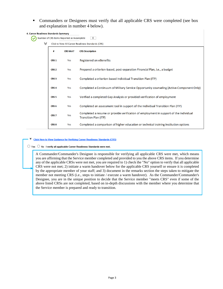• Commanders or Designees must verify that all applicable CRS were completed (see box and explanation in number 4 below).

| 4. Career Readiness Standards Summary |                  | Number of CRS Items Reported as Incomplete | $\overline{0}$                                                                                                 |
|---------------------------------------|------------------|--------------------------------------------|----------------------------------------------------------------------------------------------------------------|
| ≫                                     |                  |                                            | Click to View All Career Readiness Standards (CRS)                                                             |
|                                       | #                | <b>CRS Met?</b>                            | <b>CRS Description</b>                                                                                         |
|                                       | CRS <sub>1</sub> | Yes                                        | Registered on eBenefits                                                                                        |
|                                       | CRS <sub>2</sub> | Yes                                        | Prepared a criterion-based, post-separation Financial Plan, i.e., a budget                                     |
|                                       | CRS <sub>3</sub> | Yes                                        | Completed a criterion-based Individual Transition Plan (ITP)                                                   |
|                                       | CRS <sub>4</sub> | Yes                                        | Completed a Continuum of Military Service Opportunity counseling (Active-Component Only)                       |
|                                       | CRS <sub>5</sub> | Yes                                        | Verified a completed Gap Analysis or provided verification of employment                                       |
|                                       | CRS <sub>6</sub> | Yes                                        | Completed an assessment tool in support of the Individual Transition Plan (ITP)                                |
|                                       | CRS <sub>7</sub> | Yes                                        | Completed a resume or provide verification of employment in support of the Individual<br>Transition Plan (ITP) |
|                                       | CRS <sub>8</sub> | Yes                                        | Completed a comparison of higher education or technical training institution options                           |

#### **Click Here to View Guidance for Verifying Career Readiness Standards (CRS)**

 $\bigcirc$  Yes  $\bigcirc$  No I verify all applicable Career Readiness Standards were met.

A Commander/Commander's Designee is responsible for verifying all applicable CRS were met, which means you are affirming that the Service member completed and provided to you the above CRS items. If you determine any of the applicable CRSs were not met, you are required to 1) check the "No" option to verify that all applicable CRS were not met; 2) initiate a warm handover below for the applicable CRS yourself or ensure it is completed by the appropriate member of your staff; and 3) document in the remarks section the steps taken to mitigate the member not meeting CRS (i.e., steps to initiate / execute a warm handover). As the Commander/Commander's Designee, you are in the unique position to decide that the Service member "meets CRS" even if some of the above listed CRSs are not completed, based on in-depth discussions with the member where you determine that the Service member is prepared and ready to transition.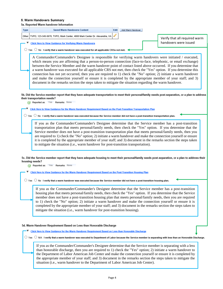#### 5. Warm Handovers Summary

5a. Reported Warm handover Information

|             | <i>a. Kebortea warm nangover imormanol</i>                                                                                                                                                                                    |      |                   |                               |
|-------------|-------------------------------------------------------------------------------------------------------------------------------------------------------------------------------------------------------------------------------|------|-------------------|-------------------------------|
| <b>Type</b> | <b>Saved Warm Handovers Content</b>                                                                                                                                                                                           | Edit | Add Warm Handover |                               |
| Other       | TVPO, 123-345-5678, TVPO, Mark Center, 4800 Mark Center Dr. Alexandria, VA                                                                                                                                                    |      |                   | Verify that all required warm |
|             | <b>Click Here to View Guidance for Verifying Warm Handovers</b>                                                                                                                                                               |      |                   | handovers were issued         |
|             | $\circlearrowright$ Yes $\circlearrowright$ No I verify that a warm handover was executed for all applicable CRSs not met. $\triangleleft$                                                                                    |      |                   |                               |
|             |                                                                                                                                                                                                                               |      |                   |                               |
|             | A Commander/Commander's Designee is responsible for verifying warm handovers were initiated / executed,<br>which means you are affirming that a person-to-person connection (face-to-face, telephonic, or email exchange)     |      |                   |                               |
|             | between the Service Member and the warm handover point of contact listed above occurred. If you determine that                                                                                                                |      |                   |                               |
|             | a warm handover was executed for all applicable CRS not met, then check the "Yes" option. If you determine this                                                                                                               |      |                   |                               |
|             | connection has not yet occurred, then you are required to 1) check the "No" option; 2) initiate a warm handover<br>and make the connection yourself or ensure it is completed by the appropriate member of your staff; and 3) |      |                   |                               |
|             | document in the remarks section the steps taken to mitigate the situation regarding the warm handover.                                                                                                                        |      |                   |                               |
|             |                                                                                                                                                                                                                               |      |                   |                               |
|             |                                                                                                                                                                                                                               |      |                   |                               |
|             | 5b. Did the Service member report that they have adequate transportation to meet their personal/family needs post-separation, or a plan to address<br>their transportation needs?                                             |      |                   |                               |
|             | Reported as: Yes Remarks: None                                                                                                                                                                                                |      |                   |                               |
|             | Click Here to View Guidance for the Warm Handover Requirement Based on the Post-Transition Transportation Plan                                                                                                                |      |                   |                               |
| ○ Yes       | No I verify that a warm handover was executed because the Service member did not have a post-transition transportation plan.                                                                                                  |      |                   |                               |
|             |                                                                                                                                                                                                                               |      |                   |                               |
|             | If you as the Commander/Commander's Designee determine that the Service member has a post-transition<br>transportation plan that meets personal/family needs, then check the "Yes" option. If you determine that the          |      |                   |                               |
|             | Service member does not have a post-transition transportation plan that meets personal/family needs, then you                                                                                                                 |      |                   |                               |
|             | are required to 1) check the "No" option; 2) initiate a warm handover and make the connection yourself or ensure                                                                                                              |      |                   |                               |
|             | it is completed by the appropriate member of your staff; and 3) document in the remarks section the steps taken<br>to mitigate the situation (i.e., warm handover for post-transition transportation).                        |      |                   |                               |
|             |                                                                                                                                                                                                                               |      |                   |                               |
|             |                                                                                                                                                                                                                               |      |                   |                               |
|             | 5c. Did the Service member report that they have adequate housing to meet their personal/family needs post-separation, or a plan to address their<br>housing needs?                                                           |      |                   |                               |
|             | Reported as: Yes Remarks: None                                                                                                                                                                                                |      |                   |                               |
|             | Click Here to View Guidance for the Warm Handover Requirement Based on the Post-Transition Housing Plan                                                                                                                       |      |                   |                               |
|             |                                                                                                                                                                                                                               |      |                   |                               |
|             | $\circlearrowright$ Yes $\circlearrowright$ No I verify that a warm handover was executed because the Service member did not have a post-transition housing plan.                                                             |      |                   |                               |
|             | If you as the Commander/Commander's Designee determine that the Service member has a post-transition                                                                                                                          |      |                   |                               |
|             | housing plan that meets personal/family needs, then check the "Yes" option. If you determine that the Service                                                                                                                 |      |                   |                               |
|             | member does not have a post-transition housing plan that meets personal/family needs, then you are required<br>to 1) check the "No" option; 2) initiate a warm handover and make the connection yourself or ensure it is      |      |                   |                               |
|             | completed by the appropriate member of your staff; and 3) document in the remarks section the steps taken to                                                                                                                  |      |                   |                               |
|             | mitigate the situation (i.e., warm handover for post-transition housing).                                                                                                                                                     |      |                   |                               |
|             |                                                                                                                                                                                                                               |      |                   |                               |
|             |                                                                                                                                                                                                                               |      |                   |                               |
|             | 5d. Warm Handover Requirement Based on Less than Honorable Discharge                                                                                                                                                          |      |                   |                               |
|             | Click Here to View Guidance for the Warm Handover Requirement Based on Less than Honorable Discharge                                                                                                                          |      |                   |                               |
|             | $\bigcirc$ Yes $\bigcirc$ N/A I verify that a warm handover was executed to Department of Labor because the Service member is separating with less than an Honorable Discharge.                                               |      |                   |                               |
|             | If you as the Commander/Commander's Designee determine that the Service member is separating with a less                                                                                                                      |      |                   |                               |
|             |                                                                                                                                                                                                                               |      |                   |                               |

than honorable discharge, then you are required to 1) check the "Yes" option; 2) initiate a warm handover to the Department of Labor American Job Center and make the connection yourself or ensure it is completed by the appropriate member of your staff; and 3) document in the remarks section the steps taken to mitigate the situation (i.e., warm handover to the Department of Labor American Job Center).